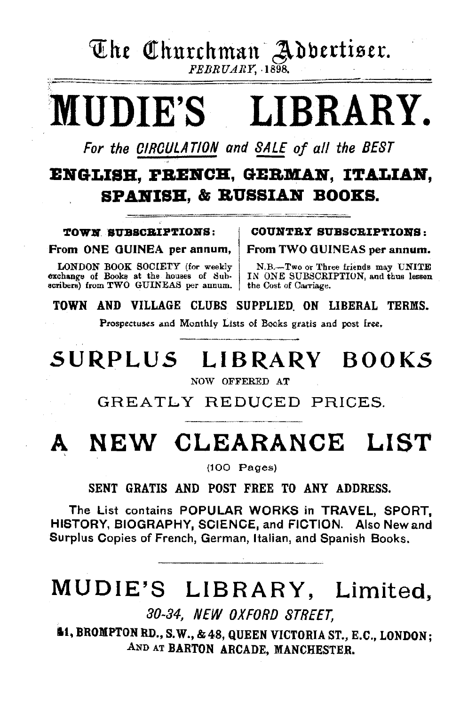The Churchman Adbertiser.

FEBRUARY, ·1898.

# MUDIE'S LIBRARY.

For the CIRCULATION and SALE of all the BEST

## ENGLISH, FRENCH, GERMAN. ITALIAN. SPANISH, & RUSSIAN BOOKS.

TOWN SUBSCRIPTIONS:

From ONE OUINEA per annum,

LONDON BOOK SOCIETY (for weekly exchange of Books at the houses of Sub-<br>scribers) from TWO GUINEAS per annum.

#### COUNTRY SUBSCRIPTIONS:

From TWO GUINEAS per annum.

N.B.-Two or Three friends may UNITE IN ONE SUBSCRIPTION, and thus lessen the Cost of Carriage.

TOWN AND VILLAGE CLUBS SUPPLIED. ON LIBERAL TERMS.

Prospectuses and Monthly Lists of Books gratis and post free,

# SURPLUS LIBRARY BOOKS

NOW OFFERED AT

GREATLY REDUCED PRICES.

# NEW CLEARANCE LIST

(100 Pages)

SENT GRATIS AND POST FREE TO ANY ADDRESS.

The List contains POPULAR WORKS in TRAVEL, SPORT, HISTORY, BIOGRAPHY, SCIENCE, and FICTION. Also New and Surplus Copies of French, German, Italian, and Spanish Books.

# MUD IE'S LIBRARY, Limited,

30-84, NEW OXFORD STREET,

.1, BROMPTON RD., S.W., &48, QUEEN VICTORIA ST., E.C., LONDON; AND AT BARTON ARCADE, MANCHESTER.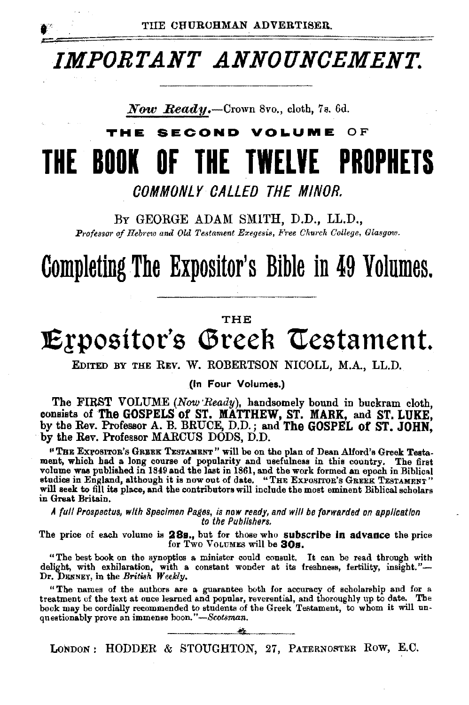

# *IMPORTANT ANNOUNCEMENT.*

**Now Ready.**—Crown 8vo., cloth, 7s. 6d.

### TW E. **SECOND VOLUME OF** THE BOOK OF THE TWELVE PROPHETS

COMMONLY CALLED THE MINOR.

BY GEORGE ADAM SMITH, D.D., LL.D., Professor of Hebrew and Old Testament Exegesis, Free Church College, Glasgow.

# Completing The Expositor's Bible in 49 Volumes.

#### THE

# Expositor's Greek Testament.

EDITED BY THE REV. W. ROBERTSON NICOLL, M.A., LL.D.

(In Four Volumes.)

The FIRST VOLUME (Now Ready), handsomely bound in buckram cloth, consists of The GOSPELS of ST. MATTHEW, ST. MARK, and ST. LUKE. by the Rev. Professor A. B. BRUCE, D.D.; and The GOSPEL of ST. JOHN, by the Rev. Professor MARCUS DODS, D.D.

"THE EXPOSITOR'S GREEK TESTAMENT" will be on the plan of Dean Alford's Greek Testament, which had a long course of popularity and usefulness in this country. The first volume was published in 1849 and the last in 1861, and in Great Britain.

A full Prospectus, with Specimen Pages, is now ready, and will be forwarded on application to the Publishers.

The price of each volume is 28s., but for those who subscribe in advance the price for Two Volumes will be 30s.

"The best book on the synoptics a minister could consult. It can be read through with delight, with exhilaration, with a constant wonder at its freshness, fertility, insight."-Dr. DENNEY, in the British Weekly.

"The names of the authors are a guarantee both for accuracy of scholarship and for a treatment of the text at once learned and popular, reverential, and thoroughly up to date. The book may be cordially recommended to students of the Greek Testament, to whom it will unquestionably prove an immense boon."-Scotsman.

LONDON: HODDER & STOUGHTON, 27, PATERNOSTER ROW, E.C.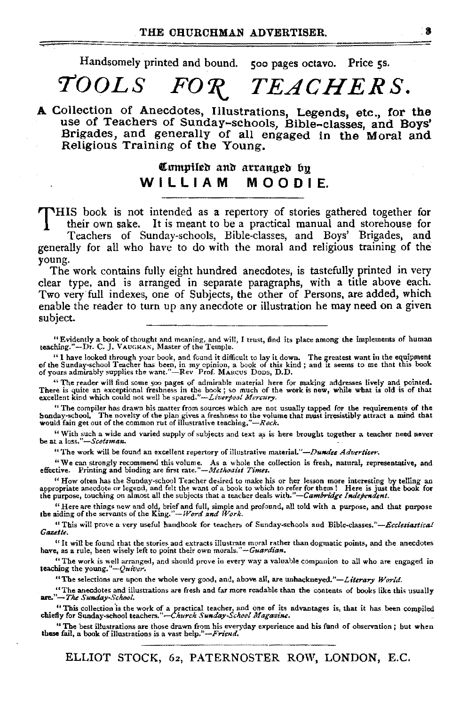Handsomely printed and bound. 500 pages octavo. Price 5s.

# $\mathit{TOOLS}$   $\mathit{FOR}$   $\mathit{TEACHERS}.$

A Collection of Anecdotes, Illustrations, Legends, etc., for the use of Teachers of Sunday-schools, Bible-classes, and Boys' Brigades, and generally of all engaged in the' Moral and Religious Training of the Young.

### Compiled and arranged by W I L L I A M M O O D I E.

THIS book is not intended as a repertory of stories gathered together for their own sake. It is meant to be a practical manual and storehouse for Teachers of Sunday-schools, Bible-classes, and Boys' Brigades, and generally for all who have to do with the moral and religious training of the

young. The work contains fully eight hundred anecdotes, is tastefully printed in very

clear type, and is arranged in separate paragraphs, with a title above each. Two very full indexes, one of Subjects, the other of Persons, are added, which enable the reader to turn up any anecdote or illustration he may need on a given subject.

"Evidently a book of thought and meaning, and will, I trust, find its place among the implements of human teaching."-Dr. C.]. VAUGHAN, Master of the Temple.

"I have looked through your book, and found it difficult to lay it down. The greatest want in the equipment of the Sunday-school Teacher has been, in my opinion, a book of this kind; and it seems to me that this book of yo

"The reader will find some 500 pages of admirable material here for making addresses lively and pointed.<br>There is quite an exceptional freshness in the book; so much of the work is new, while what is old is of that excell

"The compiler has drawn his matter from sources which are not usually tapped for the requirements of the bonday-school, The novelty of the plan gives a freshness to the volume that must irresistibly attract a mind that wo

"With such a wide and varied supply of subjects and text as is here brought together a teacher need never be at a loss."--Scotsman.

"The work will be found an excellent repertory of illustrative material."-Dundee Advertiser.

"We can strongly recommend this volume. As a whole the collection is fresh, natural, representative, and effective. Printing and binding are first *rate. "-Methodist Times*.

" How often has the Sunday-school Teacher desired to make his or her lesson more interesting by telling an appropriate aneedote or legend, and felt the want of a book to which to refer for them ! Here is just the purpose,

"Here are things new and old, brief and full, simple and profound, all told with a purpose, and that purpose the aiding of the servants of the King.''- *Word and Work.* 

"This will prove a very useful handbook for teachen; of Sunday·schools and *Bible-classes."-Ecclesiastical Gazette.* 

<sup>44</sup> It will be found that the stories and extracts illustrate moral rather than dogmatic points, and the anecdotes have, as a rule, been wisely left to point their own morals." *- Guardian*.

"The work is well arranged, and should prove in every way a valuable companion to all who are engaged in teaching the young." *-QuiVer.* 

"The selections are upon the whole very good, and, above all, are unhackneyed."-Literary World.

"The anecdotes and illustrations are fresh and far more readable than the contents of books like this usually **are."--The Sunday**-School.

"This collection is the work of a practical teacher, and one of its advantages is, that it has been compiled chiefly for Sunday-school teachers."—*Church Sunday-School Magazine*.

"The best illustrations are those drawn from his everyday experience and his fund of observation; but when these fail, a book of illustrations is a vast help."-Friend.

ELLIOT STOCK, 62, PATERNOSTER ROW, LONDON, E.C.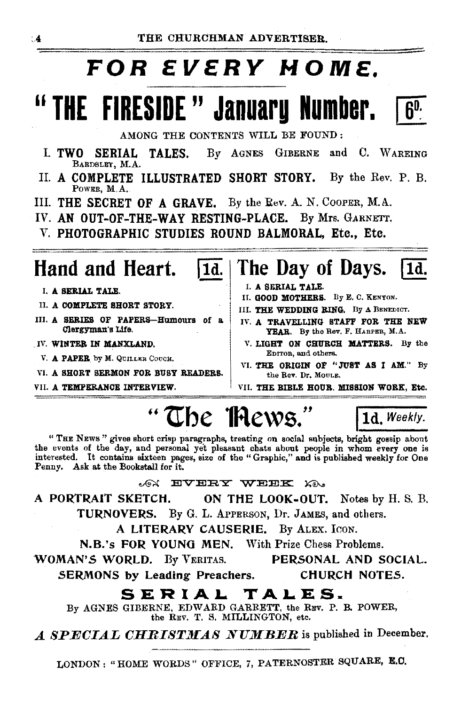# FOR EVERY MOME.

# "THE FIRESIDE" January Number.



AMONG THE CONTENTS WILL BE FOUND:

- GIBERNE and C. WAREING I. TWO SERIAL TALES. By AGNES BARDSLEY, M.A.
- II. A COMPLETE ILLUSTRATED SHORT STORY. By the Rev. P. B. POWER, M.A.
- III. THE SECRET OF A GRAVE. By the Rev. A. N. COOPER, M.A.
- IV. AN OUT-OF-THE-WAY RESTING-PLACE. By Mrs. GARNETT.
- V. PHOTOGRAPHIC STUDIES ROUND BALMORAL, Etc., Etc.

|1d.

## Hand and Heart.

- I. A SERIAL TALE.
- II. A COMPLETE SHORT STORY.
- III. A SERIES OF PAPERS-Humours of a Clergyman's Life.
- IV. WINTER IN MANXLAND.
	- V. A PAPER by M. QUILLER COUCH.
- VI. A SHORT SERMON FOR BUSY READERS.
- VII. A TEMPERANCE INTERVIEW.
- The Day of Days. I 1d.
	- I. A SERIAL TALE.
- II. GOOD MOTHERS. By E. C. KENYON.
- III. THE WEDDING RING. By A BENEDICT.
- IV. A TRAVELLING STAFF FOR THE NEW YEAR. By the Rev. F. HARPER, M.A.
- V. LIGHT ON CHURCH MATTERS. By the EDITOR, and others.
- VI. THE ORIGIN OF "JUST AS I AM." By the Rev. Dr. MOULE.

VII. THE BIBLE HOUR. MISSION WORK, Etc.

1d. Weekly.

# "The Thews."

"THE NEWS" gives short crisp paragraphs, treating on social subjects, bright gossip about the events of the day, and personal yet pleasant chats about people in whom every one is interested. It contains sixteen pages, size of the "Graphic," and is published weekly for One Penny. Ask at the Bookstall for it.

ON EVERY WEEK KO.

A PORTRAIT SKETCH. ON THE LOOK-OUT. Notes by H. S. B. TURNOVERS. By G. L. APPERSON, Dr. JAMES, and others.

A LITERARY CAUSERIE. By ALEX. ICON.

N.B.'s FOR YOUNG MEN. With Prize Chess Problems.

WOMAN'S WORLD. By VERITAS. PERSONAL AND SOCIAL. SERMONS by Leading Preachers. CHURCH NOTES.

### SERIAL TALES.

By AGNES GIBERNE, EDWARD GARRETT, the REV. P. B. POWER, the REV. T. S. MILLINGTON, etc.

A SPECIAL CHRISTMAS NUMBER is published in December.

LONDON: "HOME WORDS" OFFICE, 7, PATERNOSTER SQUARE, E.C.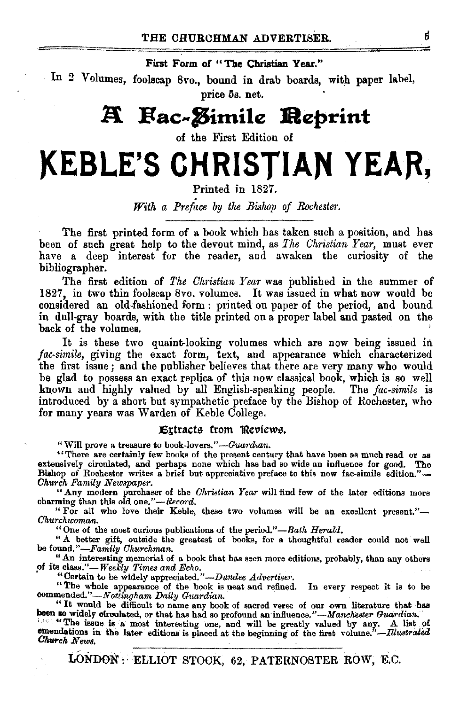First Form of "The Christian Year."

In 2 Volumes, foolscap 8vo., bound in drab boards, with paper label, price 5s. net.

# **A** Fac-*Z*imile **Reprint**

of the First Edition of

# **)(EBLE'S CHRISTIAN YEAR,**

Printed in 1827.

*With a Preface by the Bishop of Rochester.* 

The first printed form of a book which has taken such a position, and has been of such great help to the devout mind, as *1'he Christian Year,* must ever have a deep interest for the reader, and awaken the curiosity of the bibliographer.

The first edition of *The Christian Year* was published in the summer of 1827, in two thin foolscap 8vo. volumes. It was issued in what now would be considered an old-fashioned form : printed on paper of the period, and bound in dull-gray boards, with the title printed on a proper label and pasted on the back of the volumes.

It is these two quaint-looking volumes which are now being issued in *fae-simile,* giving the exact form, text, and appearance which characterized the first issue; and the publisher believes that there are very many who would be glad to possess an exact replica of this now classical book, which is so well known and highly valued by all English-speaking people. The *fac-simile* is introduced by a short but sympathetic preface by the Bishop of Rochester, who for many years was Warden of Keble College.

#### J5Itracts from '!Reviews.

"Will prove a treasure to book-lovers."-Guardian.

"There are certainly few books of the present century that have been as much read or as extensively circnlated, and perhaps none which has had so wide an influence for good. The Bishop of Rochester writes a brief but appreciative preface to this new fac-simile edition."- *Church Family Newspaper.* 

" Any modern purchaser of the *Ohristian Year* will find few of the later editions more charming than this old one."-Record.

"For all who love their Keble, these two volumes will be an excellent present."-*Ohurchwoman.* 

"One of the most curious publications of the period."-Bath *Herald*.

"A better gift, outside the greatest of books, for a thoughtful reader could not well be found.''-Family *Ohurchman*.<br>"An interesting memorial of a book that has seen more editions, probably, than any others

" An interesting memorial of a book that has seen more editions, probably, than any others of its class."—*Weekly Times and Echo.* <br>
"Certain to be widely appreciated." *-Dundee Advertiser*.

"The whole appearance of the book is neat and refined. In every respect it is to be *oommended.''-Nottingham Daily Guardian.* 

"It would be difficult to name any book of sacred verse of our own literature that has been so widely circulated, or that has had so profound an influence."—Manchester Guardian.

been so widely circulated, or that has had so profound an influence."—Manchester Guardian.<br>
<sup>116</sup> The issue is a most interesting one, and will be greatly valued by any. A list of<br>
emendations in the later editions is plac *•.murch News.* 

LONDON~: ELLIOT STOCK, 62, PATERNOSTER ROW, E.C.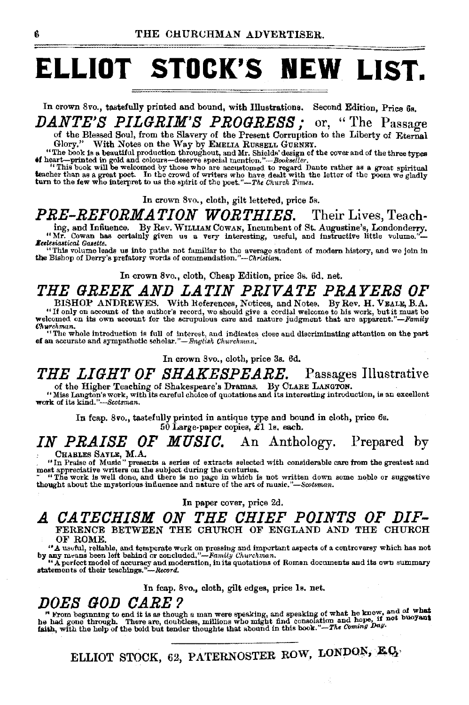# **ELLIOT STOCK'S NEW LIST.**

In crown Svo., tastefully printed and bound, with Illustrations. Second Edition, Price 6s. *DANTE'S PILGRIM'S PROGRESS;* or, ''The Passage

of the Blessed Soul, from the Slavery of the Present Corruption to the Liberty of Eternal Glory." With Notes on the Way by EMELIA RussELL GURNEY.

"The book is a beautiful production throughout, and Mr. Shields' design of the cover and of the three types of heart-printed in gold and colours-deserve special mention."-Bookseller.

"This book will be welcomed by those who are accustomed to regard Dante rather as a great spiritual teacher than as a great spiritual teacher than as a great spiritual teacher than as a great spiritual teacher than the le

In crown Svo., cloth, gilt lettered, price 5s.

PRE-REFORMATION WORTHIES. Their Lives, Teach-

ing, and Influence. By Rev. WILLIAM COWAN, Incumbent of St. Augustine's, Londonderry.<br>"Mr. Cowan has certainly given us a very interesting, useful, and instructive little volume."-

"Mr. Cowan has certainly given us a very interesting, useful, and instructive little volume."<br> **Excessionside Gasettes** (in the average student of modern history, and we join in the Bishop of Derry's prefatory words of co

In crown 8vo., cloth, Cheap Edition, price 3s. 6d. net.

## *THE GREEK .AND LATIN PRIVATE PRAYERS OF*

BISHOP ANDREWES. With References, Notices, and Notes. By Rev. H. VEALE, B.A. "If only on account of the author's record, we should give a cordial welcome to his work, but it must be welcomed on its own account for the scrupulous care and mature judgment that are apparent."-- Family

 $\alpha$ <br>"The whole introduction is full of interest, and indicates close and discriminating attention on the part<br>of an accurate and sympathetic scholar."— English Churchman,

In crown 8vo., cloth, price 3s. 6d.

## *THE LIGHT OF SHAKESPEARE.* Passages Illustrative

of the Higher Teaching of Shakespeare's Dramas. By CLARE LANGTON.<br>"Miss Langton's work, with its careful choice of quotations and its interesting introduction, is an excellent work of its kind."-Scotsman.

In fcap. 8vo., tastefully printed in antique type and bound in cloth, price 6s.  $50$  Large-paper copies,  $£1$  1s. each.

## *IN PRAISE OF MUSIC.* An Anthology. Prepared by

CHARLES SATLE, M.A.<br>
"In Praise of Music" presents a series of extracts selected with considerable care from the greatest and<br>
most appreciative writers on the subject during the centuries.<br>
The work is well done, and the

In paper cover, price 2d.

#### *.A CATECHISM ON THE CHIEF POINTS OF DIF•*  FERENCE BETWEEN THE CHURCH OF ENGLAND AND THE CHURCH OF ROME.

"A useful, reliable, and temperate work on pressing and important aspects of a controversy which has not by any means been left behind or concluded. "-Famuy *Churchman.* 

"A perfect model of accuracy and moderation, in its quotations of Roman documents and its own summary statements of their teachings."-Record.

In fcap. 8vo., cloth, gilt edges, price 1s. net.

 $DOES$   $GOD$   $CARE$  ?<br>"From beginning to end it is as though a man were speaking, and speaking of what he knew, and of what<br>he had gone through. There are, doubtless, millions who might find consolation and hope, if not buoyan

ELLIOT STOCK, 62, PATERNOSTER ROW, LONDON, E.Q.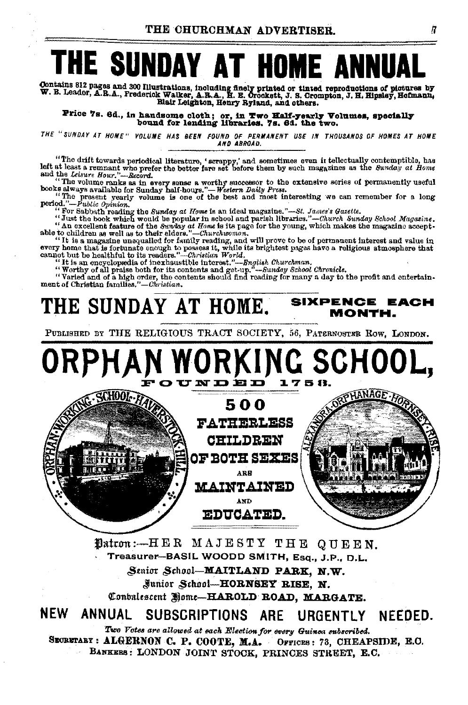# THE SUNDAY AT HOME ANNUA

Contains 812 pages and 300 Illustra Contains 812 pages and 300 Illustrations, including finely printed or tinted reproductions of pictures by<br>W. B. Leader, A.R.A., Frederick Walker, A.R.A., H. E. Orockett, J. S. Crompton, J. H. Hipsley, Hofmann,<br>Blair Leight

Price 7s. 6d., in handsome cloth; or, in Two Half-yearly Volumes, specially bound for lending libraries. 7s. 6d. the two.

THE "SUNDAY AT HOME" VOLUME HAS BEEN FOUND OF PERMANENT USE IN THOUSANDS OF HOMES AT HOME AND ABROAD

"The drift towards periodical literature, 'scrappy,' and sometimes even it tellectually contemptible, has left at least a remnant who prefer the better fare set before them by such magazines as the Sunday at Home and the

and the volume marks as in every sense a worthy successor to the extensive series of permanently useful<br>books always available for Sunday half-hours."—Western Daily Press.<br>"The present yearly volume is one of the best and

" For Sabbath reading the Sunday at Home is an ideal magazine."—St. James's Gazette.<br>"Just the book which would be popular in school and parish libraries."—Church Sunday School Magazine.

<sup>64</sup>Just the book which would be popular in school and parish libraries."—Church Sunday School Magazine.<br>
<sup>64</sup> An excelent feature of the Sunday at Home is its page for the young, which makes the magazine acceptible to ch

ment of Christian families."-Christian.

#### **SIXPENCE EACH** THE SIINDAY AT HOME. MONTH.

PUBLISHED BY THE RELIGIOUS TRACT SOCIETY, 56, PATERNOSTER ROW, LONDON,



Datron: -- HER MAJESTY THE QUEEN. Treasurer-BASIL WOODD SMITH, Esq., J.P., D.L. Senior School-MAITLAND PARK. N.W. Junior School-HORNSEY RISE, N. Conbalescent Home-HAROLD ROAD, MARGATE.

**NEW** ANNUAL SUBSCRIPTIONS ARE URGENTLY **NEEDED.** 

Two Votes are allowed at each Election for every Guinea subscribed. SECRETARY : ALGERNON C. P. COOTE, M.A. OFFICES: 73, CHEAPSIDE, E.O. BANKERS: LONDON JOINT STOCK, PRINCES STREET, E.C.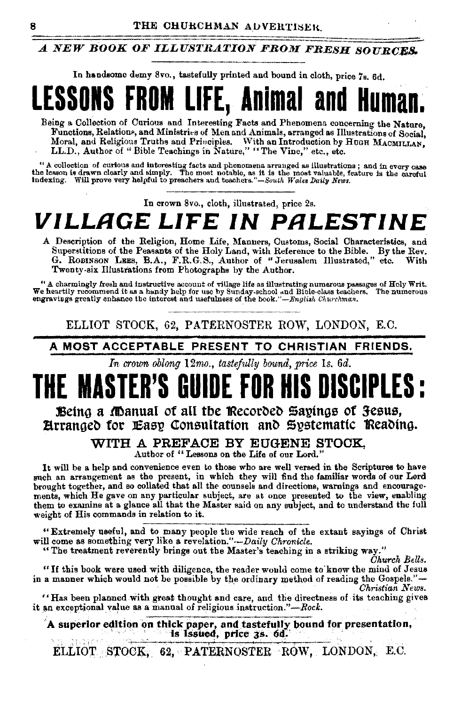### A NEW BOOK OF ILLUSTRATION FROM FRESH SOURCES.

In handsome demy 8vo., tastefully printed and bound in cloth, price 7s. 6d.



Being a Collection of Curious and Interesting Facts and Phenomena concerning the Nature, Functions, Relations, and Ministries of Men and Animals, arranged as Illustrations of Social. Moral, and Religious Truths and Priociples. With an Introduction by HUGH MACMILLAN. LL.D., Author of "Bible Teachings in Nature," "The Vine," etc., etc.

"A collection of curious and interesting facts and phenomena arranged as illustrations; and in every case the lesson is drawn clearly and simply. The most notable, as it is the most valuable, feature is the careful indexi

In crown 8vo., cloth, illustrated, price 2s.

# VILLAGE LIFE IN PALESTINE

A Description of the Religion, Home Life, Manners, Customs, Social Characteristics, and Superstitions of the Peasants of the Holy Land, with Reference to the Bible. By the Rev. G. ROBINSON LEES, B.A., F.R.G.S., Author of "Jerusalem Illustrated," etc. With Twenty-six Illustrations from Photographs by the Author.

" A charmingly fresh and instructive account of village life as illustrating numerous passages of Holy Writ. We heartily recommend it as a handy help for use by Sunday-school and Bible-class teachers. The numerous engravings greatly enhance the interest and usefulness of the book."—English Churchman.

ELLIOT STOCK, 62, PATERNOSTER ROW, LONDON, E.C.

A MOST ACCEPTABLE PRESENT TO CHRISTIAN FRIENDS.

In crown oblong 12mo., tastefully bound, price 1s, 6d.

#### Being a Manual of all the Recorded Sayings of Jesus, Hrranged for Easy Consultation and Systematic Reading.

#### WITH A PREFACE BY EUGENE STOCK.

Author of "Lessons on the Life of our Lord."

It will be a help and convenience even to those who are well versed in the Scriptures to have such an arrangement as the present, in which they will find the familiar words of our Lord brought together, and so collated that all the counsels and directions, warnings and encouragements, which He gave on any particular subject, are at once presented to the view, enabling them to examine at a glance all that the Master said on any subject, and to understand the full weight of His commands in relation to it.

"Extremely useful, and to many people the wide reach of the extant sayings of Christ will come as something very like a revelation."-Daily Chronicle.

"The treatment reverently brings out the Master's teaching in a striking way."

Church Bells.

"If this book were used with diligence, the reader would come to know the mind of Jesus in a manner which would not be possible by the ordinary method of reading the Gospels."-Christian News.

"Has been planned with great thought and care, and the directness of its teaching gives it an exceptional value as a manual of religious instruction."-Rock.

A superior edition on thick paper, and tastefully bound for presentation, is Issued, price 3s. 6d.

ELLIOT STOCK, 62, PATERNOSTER ROW, LONDON, E.C.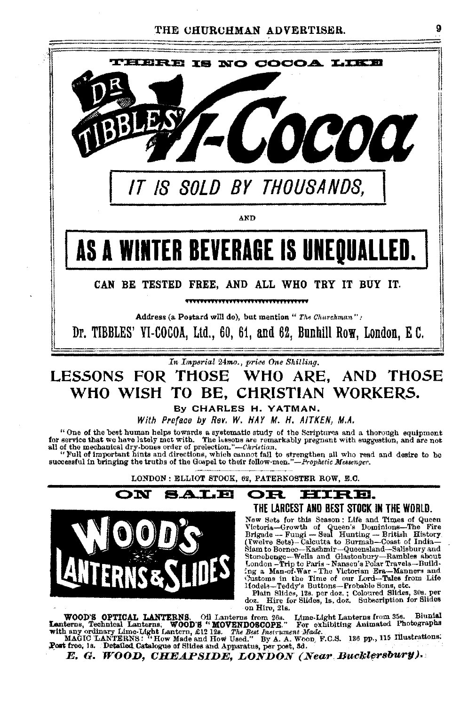

# WHO WISH TO BE. CHRISTIAN WORKERS.

By CHARLES H. YATMAN.

With Preface by Rev. W. HAY M. H. AITKEN, M.A.

"One of the best human helps towards a systematic study of the Scriptures and a thorough equipment for service that we have lately met with. The lessons are remarkably pregnant with euggestion, and are not all of the mechanical dry-bones order of prelection."—Christian.<br>"Pull of important hints and directions, which cannot fail to strengthen all who read and desire to be<br>"Full of important hints and directions, which cannot

successful in bringing the truths of the Gospel to their follow-men."-Prophetic Messenger.

LONDON: ELLIOT STOCK, 62, PATERNOSTER ROW, E.C.



#### IRE. OR THE LARCEST AND BEST STOCK IN THE WORLD.

New Sets for this Season: Life and Times of Queen Notoria-Growth of Queen's Dominions-The Fire<br>
Brigade -- Fungi -- Seal Hunting -- Britin History<br>
Crystella -- Fungi -- Seal Hunting -- Britin History<br>
(Twelve Sets)-- Galcutta to Burmah---Coast of India--<br>
Siam to Borneo-Stonebenge-Wells and Glastonbury-Rambles about London - Trip to Paris - Nansen's Polar Travels-Building a Man-of-War-The Victorian Era-Manners and Customs in the Time of our Lord-Tales from Life Hodels-Teddy's Buttons-Probable Sons, etc.

Plain Slides, 12s. per doz.; Coloured Slides, 30s. per<br>oz. Hire for Slides, 18, doz.; Subscription for Slides doz. on Hire, 21s.

WOOD'S OPTICAL LANTERNS. Oil Lanterns from 26s. Lime-Light Lanterns from 35s. Biunial Lanterns, Technical Lanterns. WOOD'S "WOOD'S COPE." For exhibiting Animated Photographs with any ordinary Lime-Light Lantern, £12 12s. T

Post free, 1s. Detailed Catalogue of Slides and Apparatus, per post, 8d.

E. G. WOOD, CHEAPSIDE, LONDON (Near Bucklersbury).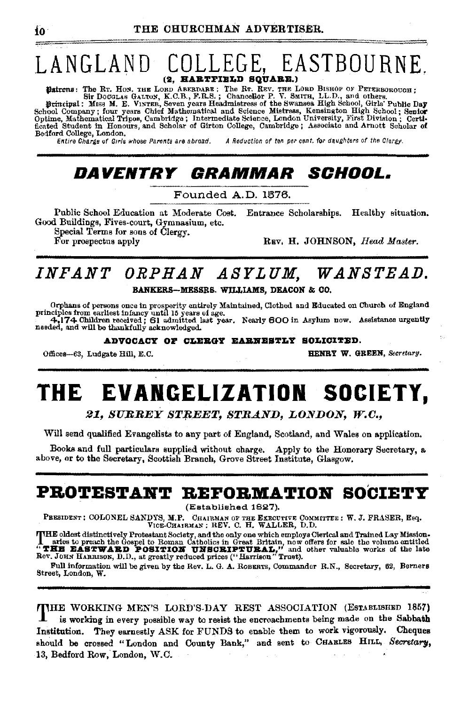### LANGLAND COLLEGE, EASTBOURNE. (2. HARTFIELD SQUARE.)

VALUATION CALCORATE: THE R. REV. THE LORD BISHOP OF PETERBOROUGH;<br>Sir DOCGLAS GALTON, K.C.B., F.R.S.; Chancellor P. V. SMITH, LL.D., and others.<br>Sirincipal: Miss M. E. VINTER, Seven years Headmistress of the Swansea High S Bedford College, London.

Entire Charge of Girls whose Parents are abroad.

A Reduction of ten per cent, for daughters of the Clergy.

### *DAVENTRY GRAMMAR SCHOOL.*

Founded A.D. 1876.

Public School Education at Moderate Cost. Entrance Scholarships. Healthy situation. Good Buildings, Fives-court, Gymnasium, etc.

Special Terms for sons of Clergy. For prospectus apply

REV. H. JOHNSON, Head Master.

### INFANT ORPHAN ASYLUM. WANSTEAD. BANKERS-MESSRS. WILLIAMS, DEACON & CO,

Orphans of persons once in prosperity entirely Maintained, Clothed and Educated on Church of England principles from earliest infancy until 15 years of age.<br>
The figure of the contract of the set of age.<br>
The figure of the

ADVOCACY OF CLERGY EARNESTLY SOLICITED.

Offices-63, Ludgate Hill, E.C.

HENRY W. GREEN, Secretary.

#### EVANGELIZATION SOCIETY, THE

21, SURREY STREET, STRAND, LONDON, W.C.,

Will send qualified Evangelists to any part of England, Scotland, and Wales on application.

Books and full particulars supplied without charge. Apply to the Honorary Secretary, a above, or to the Secretary, Scottish Branch, Grove Street Institute, Glasgow.

### PROTESTANT REFORMATION SOCIETY

(Established 1827).

PRESIDENT: COLONEL SANDYS, M.P. CHAIRMAN OF THE EXECUTIVE COMMITTEE: W. J. FRASER, Esq. VICE-CHAIRMAN ; REV. C. H. WALLER, D.D.

THE oldest distinctively Protestant Society, and the only one which employs Cierical and Trained Lay Mission-<br> **THE DEAST WARD POSITION UNISIDE IN GRAIN** have offers for sale the volume entitled<br>
"THE EASTWARD POSITION UNI

Full information will be given by the Rev. L. G. A. ROBERTS, Commander R.N., Secretary, 62, Berners Street, London, W.

THE WORKING MEN'S LORD'S-DAY REST ASSOCIATION (ESTABLISHED 1857) is working in every possible way to resist the encroachments being made on the Sabbath Institution. They earnestly ASK for FUNDS to enable them to work vigorously. Cheques should be crossed "London and County Bank," and sent to CHARLES HILL, Secretary, 13, Bedford Row, London, W.C.

f٥.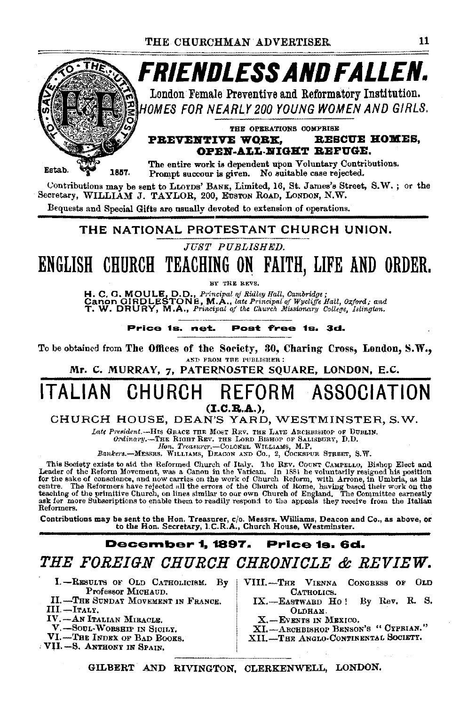

Contributions may be sent to LLOYDS' BANK, Limited, 16, St. James's Street, S.W.; or the Secretary, WILLIAM J. TAYLOR, 200, EUSTON ROAD, LONDON, N.W.

Bequests and Special Gifts are usually devoted to extension of operations.

#### THE NATIONAL PROTESTANT CHURCH UNION.

JUST PUBLISHED.

ENGLISH CHURCH TEACHING ON FAITH, LIFE AND ORDER.

NY THE REVS.

H. C. G. MOULE, D.D., Principal of Ridley Hall, Cambridge;<br>Canon GIRDLESTONE, M.A., late Principal of Wycliffe Hall, Oxford; and<br>T. W. DRURY, M.A., Principal of the Church Missionary College, Islington.

Price 1s. net. Post free 1s. 3d.

To be obtained from The Offices of the Society, 30, Charing Cross, London, S.W., AND FROM THE PUBLISHER :

Mr. C. MURRAY, 7, PATERNOSTER SQUARE, LONDON, E.C.

#### ITALIAN CHURCH REFORM ASSOCIATION  $(L.C.R.A.).$

CHURCH HOUSE, DEAN'S YARD, WESTMINSTER, S.W.

Late President.--- HIS GRACE THE MOST REV. THE LATE ARCHBISHOP OF DUBLIN.

Ordinary.-THE RIGHT REV. THE LORD BISHOP OF SALISBURY, D.D. Hon. Treaturer.-COLOREL WILLIAMS, M.P.<br>Bankers.-MESSRS. WILLIAMS, DEACON AND Co., 2, COCKSPUR STREET, S.W.

This Society exists to aid the Reformed Church of Italy. The REV. COUNT CAMPELLO, Bishop Elect and Leader of the Reform Movement, was a Canon in the Vatican. In 1881 he voluntarily resigned his position for the sake of con Reformers.

Contributions may be sent to the Hon. Treasurer, c/o. Messrs. Williams, Deacon and Co., as above, or<br>to the Hon. Secretary, I.C.R.A., Church House, Westminster.

#### **December 1, 1897.** Price 1s. 6d.

THE FOREIGN CHURCH CHRONICLE & REVIEW.

- I.-RESULTS OF OLD CATHOLICISM. By Professor MICHAUD.
- **II. -- THE SUNDAY MOVEMENT IN FRANCE.**
- III.-Iraly.
- IV.-AN ITALIAN MIRACLE.
- V. SOUL-WORSHIP IN SICILY. VI.-THE INDEX OF BAD BOOKS.
- VII.-S. ANTHONY IN SPAIN.
- VIII.-THE VIENNA CONGRESS OF OLD CATHOLICS.
	- IX.-EASTWARD Ho! By Rev. R. S. ОLDНАМ.
	- X.-EVENTS IN MEXICO.
	- XI.-ARCHBISHOP BENSON'S "CYPRIAN."
	- XII. THE ANGLO-CONTINENTAL SOCIETY.

GILBERT AND RIVINGTON, CLERKENWELL, LONDON.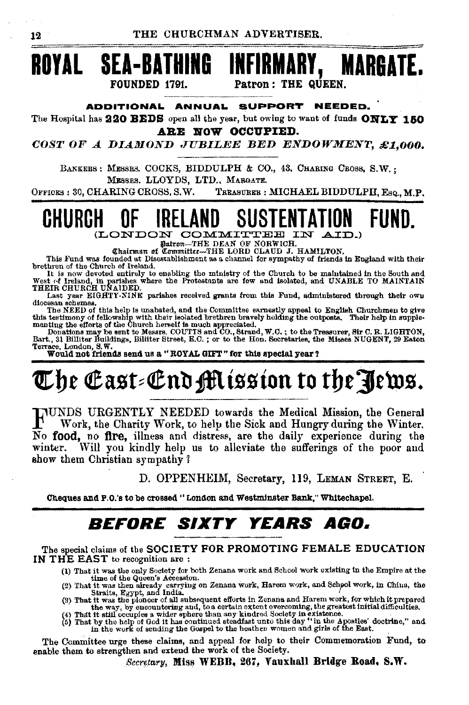## **ROYAL SEA-BATHING INFIRMARY, MARGATE.**  FOUNDED 1791. Patron: THE QUEEN.

#### **ADDITIONAl. ANNUAl. SUPPORT NEEDED.**

The Hospital has **220 BEDS** open all the year, but owing to want of funds **OWLY 150 ARE NOW OCCUPIED.** 

*COST* OF *A DIAMOND .TUBILEE BED ENDOWMENT, £:1,000.* 

BANKERS : MESSRS. COCKS, BIDDULPH & CO., 43, CHARING CROSS, S.W. ; MESSRS. LLOYDS, LTD., MARGATE.

OFFICES : 30, CHARING CROSS, S.W. TREASURER : MICHAEL BIDDULPH, Esq., M.P.

### **CHURCH OF IRELAND SUSTENTATION**  II UI IIILLAIND UUUILIIIAIIUN<br>(LONDON COMMITTEE IN AID.)<br>| finicman of Committee-THE DEAN OF NORWICH.<br>| chaitman of Committee-THE LORD CLAUD J. HAMILTON. **FUND.**

This Fund was founded at Disestablishment as a channel for sympathy of friends in England with their<br>brethren of the Church of Ireland.

brethren of the Church of Ireland.<br>It is now devoted entirely to enabling the ministry of the Church to be maintained in the South and<br>West. of Ireland, in parishes where the Protestants are few and isolated, and UNABLE TO

Last year EIGHTY-NINE parishes received grants from this Fund, administered through their own<br>diocesau schemes.<br>The NEED of this help is unabated, and the Committee exmestly appeal to English Churchmen to give<br>this testimo

# The East-End Mission to the Pews.  $\,$

FUNDS URGENTLY NEEDED towards the Medical Mission, the General Work, the Charity Work, to help the Sick and Hungry during the Winter. No food, no ftre, illness and distress, are the daily experience during the winter. Will you kindly help us to alleviate the sufferings of the poor and show them Christian sympathy?

D. OPPENHEIM, Secretary, ll9, LEMAN STREET, E.

Cheques and P.O.'s to be crossed "London and Westminster Bank," Whitechapel.

## *BEFORE SIXTY YEARS AGO.*

The special claims of the SOCIETY FOR PROMOTING FEMALE EDUCATION IN THE EAST to recognition are:

- (1) That it was the only Society for both Zenana work and School work existing in the Empire at the time of the Queen's Aeeession.
- 
- 
- (2) That it was then already carrying on Zenana work, Harem work, and School work, in China, the Straits, Egypt, and India, the Straits, Egypt, and India, the Straits, Egypt, and India, the Straits, Egypt, and India, the S

The Committee urge these claims, and appeal for help to their Commemoration Fund, to enable them to strengthen and extend the work of the Society.

 $Security$ , Miss WEBB, 267, Vauxhall Bridge Road, S.W.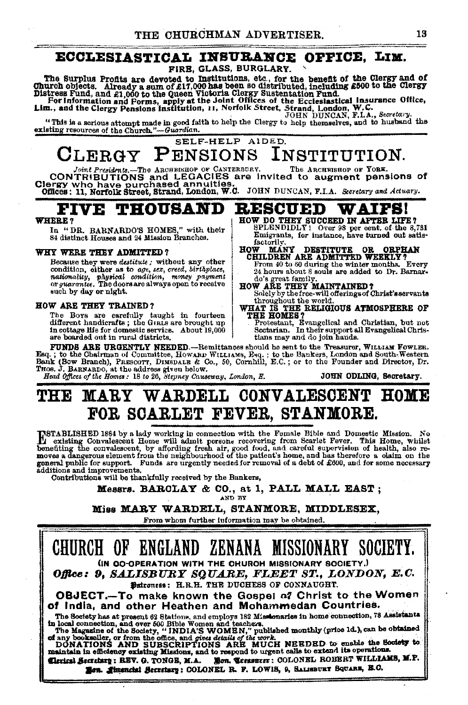### ECCLESIASTICAL INSURANCE OFFICE, LIM.

FIRE, GLASS, BURGLARY.

The Surplus Profits are devoted to Institutions, etc., for the benefit of the Clergy and of<br>
Church objects. Already a sum of £17,000 has been so distributed, including £500 to the Clergy<br>
Distress Fund, and £1,000 to the

"This is a serious attempt made in good faith to help the Clergy to help thermselves, and to husband the existing resources of the Church."-Guardian.

SELF-HELP AIDED.

## CLERGY PENSIONS INSTITUTION.

Joint Presidents.-The ARCERISEOP OF CANTERBORY. The ARCERISEOP OF TORK.<br>CIONTRIBUTIONS and LEGACIES are invited to augment pensions of<br>CIETTY Who have purchased annuities.<br>Offices: 11, Norfolk Street, Strand, London, W.C.

#### **FIVE THOUSAND RESCUED**

#### **WHERE?**

In "DR. BARNARDO'S HOMES," with their 84 distinct Houses and 24 Mission Branches.

#### WHY WERE THEY ADMITTED?

Because they were destitute; without any other condition, either as to age, see, creed, birthplace, nationality, physical condition, money payment or quarantee. The doors are always open to receive such by day or night.

#### HOW ARE THEY TRAINED?

The Boys are carefully taught in fourteen<br>different handicrafts; the Guans are brought up in cottage life for domestic service. About 19,000 are boarded out in rural districts.

- HOW DO THEY SUCCEED IN AFTER LIFE?<br>SPLENDIDLY! Over 98 per cent. of the 8,731 Emigrants, for instance, have turned out satisfactorily.
- **HOW MANY DESTITUTE OR ORPHAN<br>CHILDREN ARE ADMITTED WEEKLY?**<br>From 40 to 80 during the winter months. Every<br>24 hours about 8 souls are added to Dr. Barnar-
- do's great family.<br>HOW ARE THEY MAINTAINED?
- 
- Solely by the free-will offerings of Christ's servants throughout the world.<br>WHAT IS THE RELIGIOUS ATMOSPHERE OF
- THE HOMES?
	- HE HUMLES 7<br>Protestant, Evangelical and Christian, but not<br>Sectarian. In their support all Evangelical Christians may and do join hands.

FUNDS ARE URGENTLY NEEDED.---Remittances should ho sent to the Treasurer, WILLIAM FOWLER. Esq.; to the Chairman of Committee, Howkh Withiams, Esq.; to the Bankers, London and South. Western Bank (Bow Branch), PRESCOTT, DIMBDALE & Co., 50, Cornhill, E.C.; or to the Founder and Director, Dr. Those, J. BARNARDO, a

WAIPS!

### THE MARY WARDELL CONVALESCENT HOME FOR SCARLET FEVER, STANMORE.

INSTABLISHED 1884 by a lady working in connection with the Fomale Bible and Domestic Mission. No<br>meeting Convalescent Home will admit persons recovering from Scarlet Fever. This Home, whilet<br>benefiting the convalescent, by general public for support. Funds are urgently needed for removal of a debt of £600, and for some necessary additions and improvements.

Contributions will be thankfully received by the Bankers,

Messrs. BARCLAY & CO., at 1, PALL MALL EAST; AND BY

#### Miss MARY WARDELL, STANMORE, MIDDLESEX.

From whom further information may be obtained.

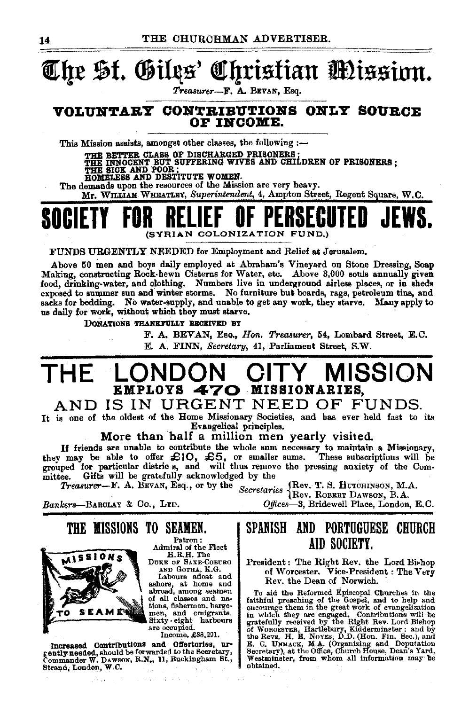### The St. Giles' Christian Mission.

Treasurer-F. A. BEVAN, Esq.

#### VOLUNTARY CONTRIBUTIONS ONLY SOURCE OF INCOME.

This Mission assists, amongst other classes, the following :-

THE BETTER CLASS OF DISCHARGED PRISONERS :<br>THE INNOCENT BUT SUFFERING WIVES AND CHILDREN OF PRISONERS ;<br>HOMELESS AND POOR ;<br>HOMELESS AND DESTITUTE WOMEN.

The demands upon the resources of the Mission are very heavy.

Mr. WILLIAM WHEATLEY, Superintendent, 4, Ampton Street, Regent Square, W.C.

# (SYRIAN COLONIZATION FUND.)

FUNDS URGENTLY NEEDED for Employment and Relief at Jerusalem.

Above 50 men and boys daily employed at Abraham's Vineyard on Stone Dressing, Soap Making, constructing Rock-hewn Cisterns for Water, etc. Above 3,000 souls annually given food, drinking-water, and clothing. Numbers live in underground airless places, or in sheds exposed to summer sun and winter storms. No furniture but boards, rags, petroleum tins, and sacks for bedding. No water-supply, and unable to get any work, they starve. Many apply to us daily for work, without which they must starve.

DONATIONS THANKFULLY BECEIVED BY

F. A. BEVAN, Eso., Hon. Treasurer, 54, Lombard Street, E.C. E. A. FINN, Secretary, 41, Parliament Street, S.W.

#### MISSION THE EMPLOYS 470 MISSIONARIES,

#### AND IS IN URGENT NEED OF FUNDS.

It is one of the oldest of the Home Missionary Societies, and has ever held fast to its Evangelical principles.

More than half a million men yearly visited.

If friends are unable to contribute the whole sum necessary to maintain a Missionary,<br>they may be able to offer  $\pounds 10$ ,  $\pounds 5$ , or smaller sums. These subscriptions will be<br>grouped for particular districts, and will th Gifts will be gratefully acknowledged by the mittee.

*Treasurer*—F. A. BEVAN, Esq., or by the Secretaries (Rev. T. S. HUTCHINSON, M.A.

Bankers-BARCLAY & Co., LTD.

Offices-3, Bridewell Place, London, E.C.



THE MISSIONS TO SEAMEN. Patron:

Admiral of the Fleet<br>H.R.H. The DUKE OF SAXE-COBURG

AND GOTHA, K.G. AND GOTHA, A.G.<br>Labours afloat and<br>ashore, at home and<br>abroad, among seamen of all classes and nations, fishermen, bargemen, and emigrants.<br>Sixty eight harbours are occupied.

Income, £38,291.

Increased Contributions and Offertories, urgently-needed, should be forwarded to the Secretary, Commander W. DAWSON, R.N., 11, Ruckingham St., Strand, London, W.C.

### SPANISH AND PORTUGUESE CHURCH AID SOCIETY.

President: The Right Rev. the Lord Bi-hop<br>of Worcester. Vice-President: The Very Rev. the Dean of Norwich.

To aid the Beformed Episcopal Churches in the fatthful preaching of the Gospel, and to help and snowing them in the great work of evangelization in which they are engaged. Contributions will be of Wonczerta, Hartlebury, Ki ohtained.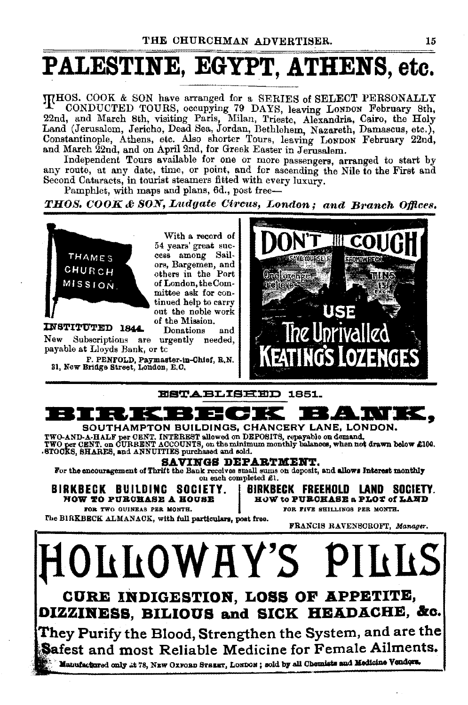# PALESTINE, EGYPT, ATHENS, etc.

ITHOS. COOK & SON have arranged for a SERIES of SELECT PERSONALLY CONDUCTED TOURS, occupying 79 DAYS, leaving LoNDON February 8th, 22nd, and March 8th, visiting Paris, Milan, Trieste, Alexandria, Cairo, the Holy Land (Jerusalem, Jericho, Dead Sea, Jordan, Bethlehem, Nazareth, Damascus, etc.), Constantinople, Athens, etc. Also shorter Tours, leaving LONDON February 22nd, and March 22nd, and on April 2nd, for Greek Easter in Jerusalem.

Independent Tours available for. one or more passengers, arranged to start by any route, at any date, time, or pomt, and for ascending the Nile to the First and Second Cataracts, in tourist steamers fitted with every luxury.

Pamphlet, with maps and plans, 6d., post free-

*THOS. COOK* &7 *SON, Ludgate Circus, London; and Branch Of/ices.* 



With a record of 54 years' great success among Sailors, Bargemen, and others in the Port of London, the Committee ask for continued help to carry out the noble work of the Mission.<br>Donations and

INSTITUTED 1844. New Subscriptions are urgently needed, payable at Lloyds Bank, or tc

P. PENFOLD, Paymaster-1n.Oh1ef, R.N. 31, New Bridge Street, London, E.O.





SAVINGS DEPARTMENT.

For the encouragement of Thrift the Bank receives small sums on deposit, and allows Interest monthly on each completed £1.

FOR TWO GUINEAS PER MONTH.  $\qquad \qquad$  FOR FIVE SHILLINGS PER MONTH.

BIRKBECK BUILDINC SOCIETY. | BIRKBECK FREEHOLD LAND SOCIETY.<br>FOW TO PURCHASE A HOUSE. | HOW to PURCHASE a PLOT of LAND HOW to PUBOHASE a PLOT of LAND

The BIRKBECK ALMANACK, with full particulars, post free.

FRANCIS RAVENSCROFT, *Manager*.